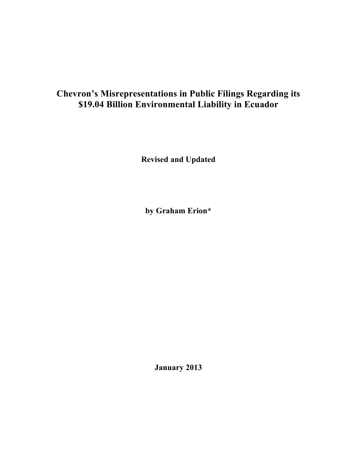# **Chevron's Misrepresentations in Public Filings Regarding its \$19.04 Billion Environmental Liability in Ecuador**

**Revised and Updated**

**by Graham Erion\***

**January 2013**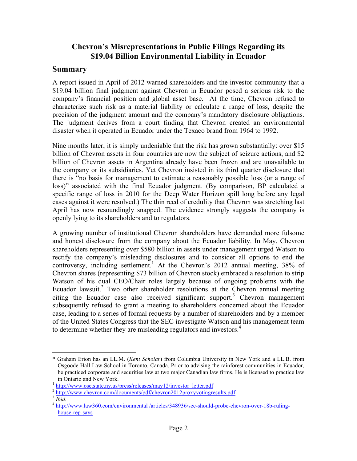## **Chevron's Misrepresentations in Public Filings Regarding its \$19.04 Billion Environmental Liability in Ecuador**

### **Summary**

A report issued in April of 2012 warned shareholders and the investor community that a \$19.04 billion final judgment against Chevron in Ecuador posed a serious risk to the company's financial position and global asset base. At the time, Chevron refused to characterize such risk as a material liability or calculate a range of loss, despite the precision of the judgment amount and the company's mandatory disclosure obligations. The judgment derives from a court finding that Chevron created an environmental disaster when it operated in Ecuador under the Texaco brand from 1964 to 1992.

Nine months later, it is simply undeniable that the risk has grown substantially: over \$15 billion of Chevron assets in four countries are now the subject of seizure actions, and \$2 billion of Chevron assets in Argentina already have been frozen and are unavailable to the company or its subsidiaries. Yet Chevron insisted in its third quarter disclosure that there is "no basis for management to estimate a reasonably possible loss (or a range of loss)" associated with the final Ecuador judgment. (By comparison, BP calculated a specific range of loss in 2010 for the Deep Water Horizon spill long before any legal cases against it were resolved.) The thin reed of credulity that Chevron was stretching last April has now resoundingly snapped. The evidence strongly suggests the company is openly lying to its shareholders and to regulators.

A growing number of institutional Chevron shareholders have demanded more fulsome and honest disclosure from the company about the Ecuador liability. In May, Chevron shareholders representing over \$580 billion in assets under management urged Watson to rectify the company's misleading disclosures and to consider all options to end the controversy, including settlement.<sup>1</sup> At the Chevron's 2012 annual meeting,  $38\%$  of Chevron shares (representing \$73 billion of Chevron stock) embraced a resolution to strip Watson of his dual CEO/Chair roles largely because of ongoing problems with the Ecuador lawsuit.<sup>2</sup> Two other shareholder resolutions at the Chevron annual meeting citing the Ecuador case also received significant support.<sup>3</sup> Chevron management subsequently refused to grant a meeting to shareholders concerned about the Ecuador case, leading to a series of formal requests by a number of shareholders and by a member of the United States Congress that the SEC investigate Watson and his management team to determine whether they are misleading regulators and investors. 4

 <sup>\*</sup> Graham Erion has an LL.M. (*Kent Scholar*) from Columbia University in New York and a LL.B. from Osgoode Hall Law School in Toronto, Canada. Prior to advising the rainforest communities in Ecuador, he practiced corporate and securities law at two major Canadian law firms. He is licensed to practice law

in Ontario and New York.<br><sup>1</sup> http://www.osc.state.ny.us/press/releases/may12/investor\_letter.pdf

<sup>&</sup>lt;sup>2</sup> http://www.chevron.com/documents/pdf/chevron2012proxyvotingresults.pdf<br> $\frac{3 \text{ } \text{Hilb}}{ \text{ } \text{Hilb}}$ 

<sup>4</sup> http://www.law360.com/environmental /articles/348936/sec-should-probe-chevron-over-18b-rulinghouse-rep-says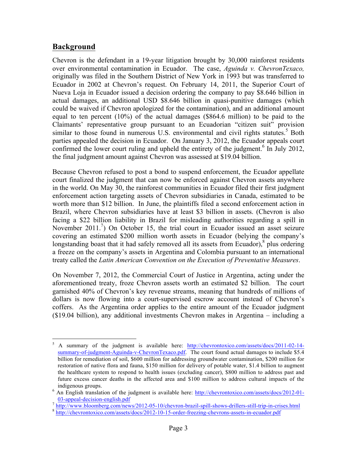### **Background**

Chevron is the defendant in a 19-year litigation brought by 30,000 rainforest residents over environmental contamination in Ecuador. The case, *Aguinda v. ChevronTexaco,*  originally was filed in the Southern District of New York in 1993 but was transferred to Ecuador in 2002 at Chevron's request. On February 14, 2011, the Superior Court of Nueva Loja in Ecuador issued a decision ordering the company to pay \$8.646 billion in actual damages, an additional USD \$8.646 billion in quasi-punitive damages (which could be waived if Chevron apologized for the contamination), and an additional amount equal to ten percent (10%) of the actual damages (\$864.6 million) to be paid to the Claimants' representative group pursuant to an Ecuadorian "citizen suit" provision similar to those found in numerous U.S. environmental and civil rights statutes.<sup>5</sup> Both parties appealed the decision in Ecuador. On January 3, 2012, the Ecuador appeals court confirmed the lower court ruling and upheld the entirety of the judgment.<sup>6</sup> In July 2012, the final judgment amount against Chevron was assessed at \$19.04 billion.

Because Chevron refused to post a bond to suspend enforcement, the Ecuador appellate court finalized the judgment that can now be enforced against Chevron assets anywhere in the world. On May 30, the rainforest communities in Ecuador filed their first judgment enforcement action targeting assets of Chevron subsidiaries in Canada, estimated to be worth more than \$12 billion. In June, the plaintiffs filed a second enforcement action in Brazil, where Chevron subsidiaries have at least \$3 billion in assets. (Chevron is also facing a \$22 billion liability in Brazil for misleading authorities regarding a spill in November 2011.<sup>7</sup>) On October 15, the trial court in Ecuador issued an asset seizure covering an estimated \$200 million worth assets in Ecuador (belying the company's longstanding boast that it had safely removed all its assets from Ecuador), $\delta$  plus ordering a freeze on the company's assets in Argentina and Colombia pursuant to an international treaty called the *Latin American Convention on the Execution of Preventative Measures*.

On November 7, 2012, the Commercial Court of Justice in Argentina, acting under the aforementioned treaty, froze Chevron assets worth an estimated \$2 billion. The court garnished 40% of Chevron's key revenue streams, meaning that hundreds of millions of dollars is now flowing into a court-supervised escrow account instead of Chevron's coffers. As the Argentina order applies to the entire amount of the Ecuador judgment (\$19.04 billion), any additional investments Chevron makes in Argentina – including a

 <sup>5</sup> A summary of the judgment is available here: http://chevrontoxico.com/assets/docs/2011-02-14 summary-of-judgment-Aguinda-v-ChevronTexaco.pdf. The court found actual damages to include \$5.4 billion for remediation of soil, \$600 million for addressing groundwater contamination, \$200 million for restoration of native flora and fauna, \$150 million for delivery of potable water, \$1.4 billion to augment the healthcare system to respond to health issues (excluding cancer), \$800 million to address past and future excess cancer deaths in the affected area and \$100 million to address cultural impacts of the indigenous groups.<br><sup>6</sup> An English translation of the judgment is available here: http://chevrontoxico.com/assets/docs/2012-01-

 $\frac{03\text{-appeal-decision-english.pdf}}{8 \text{ http://www.bloomberg.com/news/2012-05-10/chevron-brazil-split-shows-drillers-still-trip-in-crises.html}}$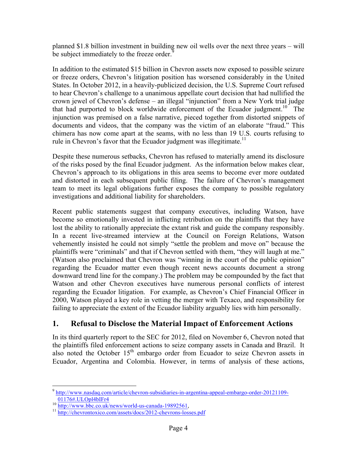planned \$1.8 billion investment in building new oil wells over the next three years – will be subject immediately to the freeze order.<sup>9</sup>

In addition to the estimated \$15 billion in Chevron assets now exposed to possible seizure or freeze orders, Chevron's litigation position has worsened considerably in the United States. In October 2012, in a heavily-publicized decision, the U.S. Supreme Court refused to hear Chevron's challenge to a unanimous appellate court decision that had nullified the crown jewel of Chevron's defense – an illegal "injunction" from a New York trial judge that had purported to block worldwide enforcement of the Ecuador judgment.<sup>10</sup> The injunction was premised on a false narrative, pieced together from distorted snippets of documents and videos, that the company was the victim of an elaborate "fraud." This chimera has now come apart at the seams, with no less than 19 U.S. courts refusing to rule in Chevron's favor that the Ecuador judgment was illegitimate.<sup>11</sup>

Despite these numerous setbacks, Chevron has refused to materially amend its disclosure of the risks posed by the final Ecuador judgment. As the information below makes clear, Chevron's approach to its obligations in this area seems to become ever more outdated and distorted in each subsequent public filing. The failure of Chevron's management team to meet its legal obligations further exposes the company to possible regulatory investigations and additional liability for shareholders.

Recent public statements suggest that company executives, including Watson, have become so emotionally invested in inflicting retribution on the plaintiffs that they have lost the ability to rationally appreciate the extant risk and guide the company responsibly. In a recent live-streamed interview at the Council on Foreign Relations, Watson vehemently insisted he could not simply "settle the problem and move on" because the plaintiffs were "criminals" and that if Chevron settled with them, "they will laugh at me." (Watson also proclaimed that Chevron was "winning in the court of the public opinion" regarding the Ecuador matter even though recent news accounts document a strong downward trend line for the company.) The problem may be compounded by the fact that Watson and other Chevron executives have numerous personal conflicts of interest regarding the Ecuador litigation. For example, as Chevron's Chief Financial Officer in 2000, Watson played a key role in vetting the merger with Texaco, and responsibility for failing to appreciate the extent of the Ecuador liability arguably lies with him personally.

## **1. Refusal to Disclose the Material Impact of Enforcement Actions**

In its third quarterly report to the SEC for 2012, filed on November 6, Chevron noted that the plaintiffs filed enforcement actions to seize company assets in Canada and Brazil. It also noted the October  $15<sup>th</sup>$  embargo order from Ecuador to seize Chevron assets in Ecuador, Argentina and Colombia. However, in terms of analysis of these actions,

 <sup>9</sup> http://www.nasdaq.com/article/chevron-subsidiaries-in-argentina-appeal-embargo-order-20121109-  $\frac{01176\text{#.} ULOp14b1Fr4}{\frac{http://www.bbc.co.uk/news/world-us-canada-19892561}{11} \cdot \frac{http://www.bbc.co.uk/news/world-us-canada-19892561}{http://chevrontoxico.com/assets/docs/2012-chevrons-loss.pdf}}$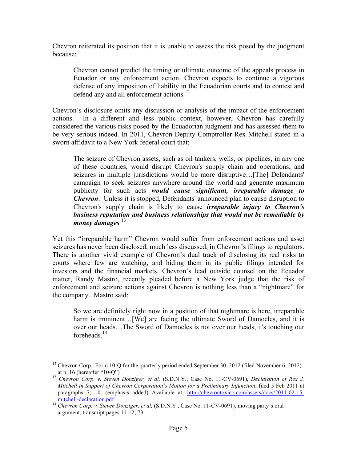Chevron reiterated its position that it is unable to assess the risk posed by the judgment because:

Chevron cannot predict the timing or ultimate outcome of the appeals process in Ecuador or any enforcement action. Chevron expects to continue a vigorous defense of any imposition of liability in the Ecuadorian courts and to contest and defend any and all enforcement actions.<sup>12</sup>

Chevron's disclosure omits any discussion or analysis of the impact of the enforcement actions. In a different and less public context, however, Chevron has carefully considered the various risks posed by the Ecuadorian judgment and has assessed them to be very serious indeed. In 2011, Chevron Deputy Comptroller Rex Mitchell stated in a sworn affidavit to a New York federal court that:

The seizure of Chevron assets, such as oil tankers, wells, or pipelines, in any one of these countries, would disrupt Chevron's supply chain and operations; and seizures in multiple jurisdictions would be more disruptive…[The] Defendants' campaign to seek seizures anywhere around the world and generate maximum publicity for such acts *would cause significant, irreparable damage to Chevron*. Unless it is stopped, Defendants' announced plan to cause disruption to Chevron's supply chain is likely to cause *irreparable injury to Chevron's business reputation and business relationships that would not be remediable by money damages.* 13

Yet this "irreparable harm" Chevron would suffer from enforcement actions and asset seizures has never been disclosed, much less discussed, in Chevron's filings to regulators. There is another vivid example of Chevron's dual track of disclosing its real risks to courts where few are watching, and hiding them in its public filings intended for investors and the financial markets. Chevron's lead outside counsel on the Ecuador matter, Randy Mastro, recently pleaded before a New York judge that the risk of enforcement and seizure actions against Chevron is nothing less than a "nightmare" for the company. Mastro said:

So we are definitely right now in a position of that nightmare is here, irreparable harm is imminent... [We] are facing the ultimate Sword of Damocles, and it is over our heads…The Sword of Damocles is not over our heads, it's touching our foreheads $14$ 

<sup>&</sup>lt;sup>12</sup> Chevron Corp. Form 10-Q for the quarterly period ended September 30, 2012 (filed November 6, 2012) at p. 16 (hereafter "10-O")

<sup>&</sup>lt;sup>13</sup> Chevron Corp. v. Steven Donziger, et al, *(S.D.N.Y., Case No. 11-CV-0691), Declaration of Rex J. Mitchell in Support of Chevron Corporation's Motion for a Preliminary Injunction*, filed 5 Feb 2011 at paragraphs 7; 10. (emphasis added) Available at: http://chevrontoxico.com/assets/docs/2011-02-15-

mitchell-declaration.pdf <sup>14</sup> *Chevron Corp. v. Steven Donziger, et al,* (S.D.N.Y., Case No. 11-CV-0691), moving party's oral argument, transcript pages 11-12; 73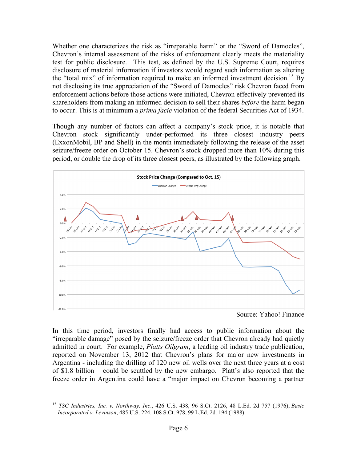Whether one characterizes the risk as "irreparable harm" or the "Sword of Damocles", Chevron's internal assessment of the risks of enforcement clearly meets the materiality test for public disclosure. This test, as defined by the U.S. Supreme Court, requires disclosure of material information if investors would regard such information as altering the "total mix" of information required to make an informed investment decision.<sup>15</sup> By not disclosing its true appreciation of the "Sword of Damocles" risk Chevron faced from enforcement actions before those actions were initiated, Chevron effectively prevented its shareholders from making an informed decision to sell their shares *before* the harm began to occur. This is at minimum a *prima facie* violation of the federal Securities Act of 1934.

Though any number of factors can affect a company's stock price, it is notable that Chevron stock significantly under-performed its three closest industry peers (ExxonMobil, BP and Shell) in the month immediately following the release of the asset seizure/freeze order on October 15. Chevron's stock dropped more than 10% during this period, or double the drop of its three closest peers, as illustrated by the following graph.



Source: Yahoo! Finance

In this time period, investors finally had access to public information about the "irreparable damage" posed by the seizure/freeze order that Chevron already had quietly admitted in court. For example, *Platts Oilgram*, a leading oil industry trade publication, reported on November 13, 2012 that Chevron's plans for major new investments in Argentina - including the drilling of 120 new oil wells over the next three years at a cost of \$1.8 billion – could be scuttled by the new embargo. Platt's also reported that the freeze order in Argentina could have a "major impact on Chevron becoming a partner

 <sup>15</sup> *TSC Industries, Inc. v. Northway, Inc*., 426 U.S. 438, 96 S.Ct. 2126, 48 L.Ed. 2d 757 (1976); *Basic Incorporated v. Levinson*, 485 U.S. 224. 108 S.Ct. 978, 99 L.Ed. 2d. 194 (1988).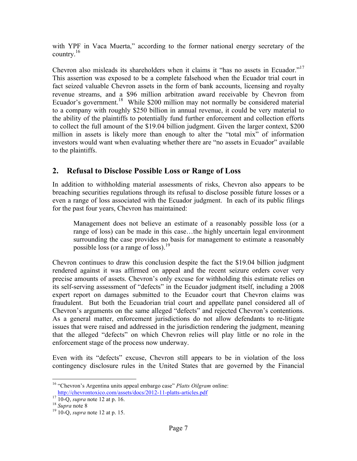with YPF in Vaca Muerta," according to the former national energy secretary of the country. $16$ 

Chevron also misleads its shareholders when it claims it "has no assets in Ecuador."<sup>17</sup> This assertion was exposed to be a complete falsehood when the Ecuador trial court in fact seized valuable Chevron assets in the form of bank accounts, licensing and royalty revenue streams, and a \$96 million arbitration award receivable by Chevron from Ecuador's government.<sup>18</sup> While \$200 million may not normally be considered material to a company with roughly \$250 billion in annual revenue, it could be very material to the ability of the plaintiffs to potentially fund further enforcement and collection efforts to collect the full amount of the \$19.04 billion judgment. Given the larger context, \$200 million in assets is likely more than enough to alter the "total mix" of information investors would want when evaluating whether there are "no assets in Ecuador" available to the plaintiffs.

## **2. Refusal to Disclose Possible Loss or Range of Loss**

In addition to withholding material assessments of risks, Chevron also appears to be breaching securities regulations through its refusal to disclose possible future losses or a even a range of loss associated with the Ecuador judgment. In each of its public filings for the past four years, Chevron has maintained:

Management does not believe an estimate of a reasonably possible loss (or a range of loss) can be made in this case…the highly uncertain legal environment surrounding the case provides no basis for management to estimate a reasonably possible loss (or a range of loss).<sup>19</sup>

Chevron continues to draw this conclusion despite the fact the \$19.04 billion judgment rendered against it was affirmed on appeal and the recent seizure orders cover very precise amounts of assets. Chevron's only excuse for withholding this estimate relies on its self-serving assessment of "defects" in the Ecuador judgment itself, including a 2008 expert report on damages submitted to the Ecuador court that Chevron claims was fraudulent. But both the Ecuadorian trial court and appellate panel considered all of Chevron's arguments on the same alleged "defects" and rejected Chevron's contentions. As a general matter, enforcement jurisdictions do not allow defendants to re-litigate issues that were raised and addressed in the jurisdiction rendering the judgment, meaning that the alleged "defects" on which Chevron relies will play little or no role in the enforcement stage of the process now underway.

Even with its "defects" excuse, Chevron still appears to be in violation of the loss contingency disclosure rules in the United States that are governed by the Financial

 <sup>16</sup> "Chevron's Argentina units appeal embargo case" *Platts Oilgram* online: http://chevrontoxico.com/assets/docs/2012-11-platts-articles.pdf <sup>17</sup> 10-Q, *supra* note 12 at p. 16. <sup>18</sup> *Supra* note 8 <sup>19</sup> 10-Q, *supra* note 12 at p. 15.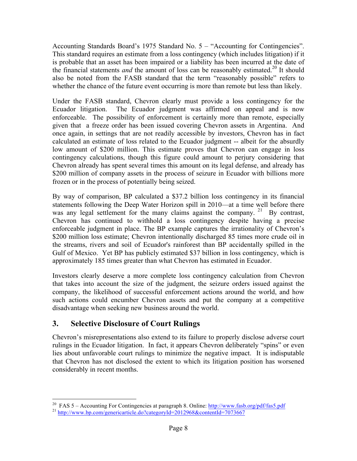Accounting Standards Board's 1975 Standard No. 5 – "Accounting for Contingencies". This standard requires an estimate from a loss contingency (which includes litigation) if it is probable that an asset has been impaired or a liability has been incurred at the date of the financial statements *and* the amount of loss can be reasonably estimated.<sup>20</sup> It should also be noted from the FASB standard that the term "reasonably possible" refers to whether the chance of the future event occurring is more than remote but less than likely.

Under the FASB standard, Chevron clearly must provide a loss contingency for the Ecuador litigation. The Ecuador judgment was affirmed on appeal and is now enforceable. The possibility of enforcement is certainly more than remote, especially given that a freeze order has been issued covering Chevron assets in Argentina. And once again, in settings that are not readily accessible by investors, Chevron has in fact calculated an estimate of loss related to the Ecuador judgment -- albeit for the absurdly low amount of \$200 million. This estimate proves that Chevron can engage in loss contingency calculations, though this figure could amount to perjury considering that Chevron already has spent several times this amount on its legal defense, and already has \$200 million of company assets in the process of seizure in Ecuador with billions more frozen or in the process of potentially being seized.

By way of comparison, BP calculated a \$37.2 billion loss contingency in its financial statements following the Deep Water Horizon spill in 2010—at a time well before there was any legal settlement for the many claims against the company. <sup>21</sup> By contrast, Chevron has continued to withhold a loss contingency despite having a precise enforceable judgment in place. The BP example captures the irrationality of Chevron's \$200 million loss estimate; Chevron intentionally discharged 85 times more crude oil in the streams, rivers and soil of Ecuador's rainforest than BP accidentally spilled in the Gulf of Mexico. Yet BP has publicly estimated \$37 billion in loss contingency, which is approximately 185 times greater than what Chevron has estimated in Ecuador.

Investors clearly deserve a more complete loss contingency calculation from Chevron that takes into account the size of the judgment, the seizure orders issued against the company, the likelihood of successful enforcement actions around the world, and how such actions could encumber Chevron assets and put the company at a competitive disadvantage when seeking new business around the world.

## **3. Selective Disclosure of Court Rulings**

Chevron's misrepresentations also extend to its failure to properly disclose adverse court rulings in the Ecuador litigation. In fact, it appears Chevron deliberately "spins" or even lies about unfavorable court rulings to minimize the negative impact. It is indisputable that Chevron has not disclosed the extent to which its litigation position has worsened considerably in recent months.

<sup>&</sup>lt;sup>20</sup> FAS 5 – Accounting For Contingencies at paragraph 8. Online:  $\frac{http://www.fasb.org/pdf/fas5.pdf}{http://www.bb.com/genericaticle.do?categoryId=2012968&contentId=7073667}$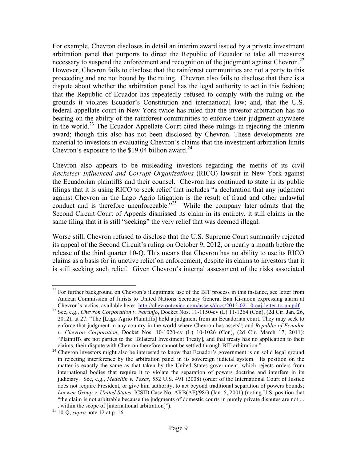For example, Chevron discloses in detail an interim award issued by a private investment arbitration panel that purports to direct the Republic of Ecuador to take all measures necessary to suspend the enforcement and recognition of the judgment against Chevron.<sup>22</sup> However, Chevron fails to disclose that the rainforest communities are not a party to this proceeding and are not bound by the ruling. Chevron also fails to disclose that there is a dispute about whether the arbitration panel has the legal authority to act in this fashion; that the Republic of Ecuador has repeatedly refused to comply with the ruling on the grounds it violates Ecuador's Constitution and international law; and, that the U.S. federal appellate court in New York twice has ruled that the investor arbitration has no bearing on the ability of the rainforest communities to enforce their judgment anywhere in the world.23 The Ecuador Appellate Court cited these rulings in rejecting the interim award; though this also has not been disclosed by Chevron. These developments are material to investors in evaluating Chevron's claims that the investment arbitration limits Chevron's exposure to the  $$19.04$  billion award.<sup>24</sup>

Chevron also appears to be misleading investors regarding the merits of its civil *Racketeer Influenced and Corrupt Organizations* (RICO) lawsuit in New York against the Ecuadorian plaintiffs and their counsel. Chevron has continued to state in its public filings that it is using RICO to seek relief that includes "a declaration that any judgment against Chevron in the Lago Agrio litigation is the result of fraud and other unlawful conduct and is therefore unenforceable.<sup>225</sup> While the company later admits that the Second Circuit Court of Appeals dismissed its claim in its entirety, it still claims in the same filing that it is still "seeking" the very relief that was deemed illegal.

Worse still, Chevron refused to disclose that the U.S. Supreme Court summarily rejected its appeal of the Second Circuit's ruling on October 9, 2012, or nearly a month before the release of the third quarter 10-Q. This means that Chevron has no ability to use its RICO claims as a basis for injunctive relief on enforcement, despite its claims to investors that it is still seeking such relief. Given Chevron's internal assessment of the risks associated

<sup>&</sup>lt;sup>22</sup> For further background on Chevron's illegitimate use of the BIT process in this instance, see letter from Andean Commission of Jurists to United Nations Secretary General Ban Ki-moon expressing alarm at Chevron's tactics, available here: http://chevrontoxico.com/assets/docs/2012-02-10-caj-letter-to-un.pdf

<sup>&</sup>lt;sup>23</sup> See. e.g., *Chevron Corporation v. Naranjo*, Docket Nos. 11-1150-cv (L) 11-1264 (Con), (2d Cir. Jan. 26, 2012), at 27: "The [Lago Agrio Plaintiffs] hold a judgment from an Ecuadorian court. They may seek to enforce that judgment in any country in the world where Chevron has assets"; and *Republic of Ecuador v. Chevron Corporation*, Docket Nos. 10-1020-cv (L) 10-1026 (Con), (2d Cir. March 17, 2011): "Plaintiffs are not parties to the [Bilateral Investment Treaty], and that treaty has no application to their claims, their dispute with Chevron therefore cannot be settled through BIT arbitration."

<sup>&</sup>lt;sup>24</sup> Chevron investors might also be interested to know that Ecuador's government is on solid legal ground in rejecting interference by the arbitration panel in its sovereign judicial system. Its position on the matter is exactly the same as that taken by the United States government, which rejects orders from international bodies that require it to violate the separation of powers doctrine and interfere in its judiciary. See, e.g., *Medellin v. Texas*, 552 U.S. 491 (2008) (order of the International Court of Justice does not require President, or give him authority, to act beyond traditional separation of powers bounds; *Loewen Group v. United States*, ICSID Case No. ARB(AF)/98/3 (Jan. 5, 2001) (noting U.S. position that "the claim is not arbitrable because the judgments of domestic courts in purely private disputes are not . . . within the scope of [international arbitration]"). <sup>25</sup> 10-Q, *supra* note 12 at p. 16.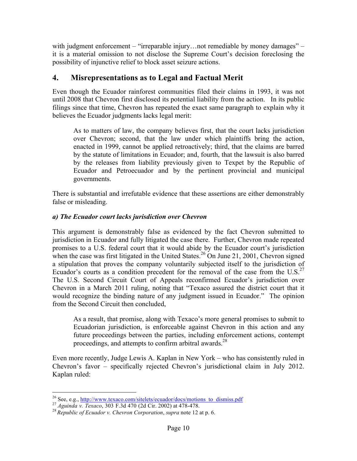with judgment enforcement – "irreparable injury...not remediable by money damages" – it is a material omission to not disclose the Supreme Court's decision foreclosing the possibility of injunctive relief to block asset seizure actions.

## **4. Misrepresentations as to Legal and Factual Merit**

Even though the Ecuador rainforest communities filed their claims in 1993, it was not until 2008 that Chevron first disclosed its potential liability from the action. In its public filings since that time, Chevron has repeated the exact same paragraph to explain why it believes the Ecuador judgments lacks legal merit:

As to matters of law, the company believes first, that the court lacks jurisdiction over Chevron; second, that the law under which plaintiffs bring the action, enacted in 1999, cannot be applied retroactively; third, that the claims are barred by the statute of limitations in Ecuador; and, fourth, that the lawsuit is also barred by the releases from liability previously given to Texpet by the Republic of Ecuador and Petroecuador and by the pertinent provincial and municipal governments.

There is substantial and irrefutable evidence that these assertions are either demonstrably false or misleading.

#### *a) The Ecuador court lacks jurisdiction over Chevron*

This argument is demonstrably false as evidenced by the fact Chevron submitted to jurisdiction in Ecuador and fully litigated the case there. Further, Chevron made repeated promises to a U.S. federal court that it would abide by the Ecuador court's jurisdiction when the case was first litigated in the United States.<sup>26</sup> On June 21, 2001, Chevron signed a stipulation that proves the company voluntarily subjected itself to the jurisdiction of Ecuador's courts as a condition precedent for the removal of the case from the  $U.S.^{27}$ The U.S. Second Circuit Court of Appeals reconfirmed Ecuador's jurisdiction over Chevron in a March 2011 ruling, noting that "Texaco assured the district court that it would recognize the binding nature of any judgment issued in Ecuador." The opinion from the Second Circuit then concluded,

As a result, that promise, along with Texaco's more general promises to submit to Ecuadorian jurisdiction, is enforceable against Chevron in this action and any future proceedings between the parties, including enforcement actions, contempt proceedings, and attempts to confirm arbitral awards.<sup>28</sup>

Even more recently, Judge Lewis A. Kaplan in New York – who has consistently ruled in Chevron's favor – specifically rejected Chevron's jurisdictional claim in July 2012. Kaplan ruled:

<sup>&</sup>lt;sup>26</sup> See, e.g., http://www.texaco.com/sitelets/ecuador/docs/motions\_to\_dismiss.pdf<br><sup>27</sup> Aguinda v. Texaco, 303 F.3d 470 (2d Cir. 2002) at 478-478.<br><sup>28</sup> Republic of Ecuador v. Chevron Corporation, supra note 12 at p. 6.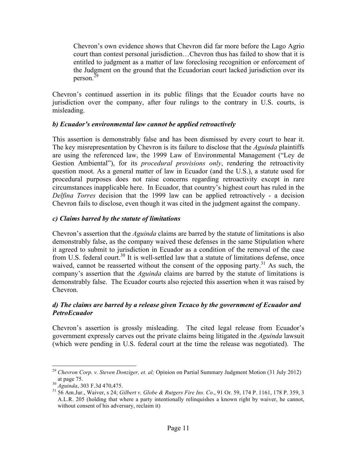Chevron's own evidence shows that Chevron did far more before the Lago Agrio court than contest personal jurisdiction…Chevron thus has failed to show that it is entitled to judgment as a matter of law foreclosing recognition or enforcement of the Judgment on the ground that the Ecuadorian court lacked jurisdiction over its person.<sup>29</sup>

Chevron's continued assertion in its public filings that the Ecuador courts have no jurisdiction over the company, after four rulings to the contrary in U.S. courts, is misleading.

#### *b) Ecuador's environmental law cannot be applied retroactively*

This assertion is demonstrably false and has been dismissed by every court to hear it. The key misrepresentation by Chevron is its failure to disclose that the *Aguinda* plaintiffs are using the referenced law, the 1999 Law of Environmental Management ("Ley de Gestion Ambiental"), for its *procedural provisions only*, rendering the retroactivity question moot. As a general matter of law in Ecuador (and the U.S.), a statute used for procedural purposes does not raise concerns regarding retroactivity except in rare circumstances inapplicable here. In Ecuador, that country's highest court has ruled in the *Delfina Torres* decision that the 1999 law can be applied retroactively - a decision Chevron fails to disclose, even though it was cited in the judgment against the company.

#### *c) Claims barred by the statute of limitations*

Chevron's assertion that the *Aguinda* claims are barred by the statute of limitations is also demonstrably false, as the company waived these defenses in the same Stipulation where it agreed to submit to jurisdiction in Ecuador as a condition of the removal of the case from U.S. federal court.<sup>30</sup> It is well-settled law that a statute of limitations defense, once waived, cannot be reasserted without the consent of the opposing party.<sup>31</sup> As such, the company's assertion that the *Aguinda* claims are barred by the statute of limitations is demonstrably false. The Ecuador courts also rejected this assertion when it was raised by Chevron.

#### *d) The claims are barred by a release given Texaco by the government of Ecuador and PetroEcuador*

Chevron's assertion is grossly misleading. The cited legal release from Ecuador's government expressly carves out the private claims being litigated in the *Aguinda* lawsuit (which were pending in U.S. federal court at the time the release was negotiated). The

<sup>&</sup>lt;sup>29</sup> *Chevron Corp. v. Steven Donziger, et. al;* Opinion on Partial Summary Judgment Motion (31 July 2012) at page 75.<br><sup>30</sup> *Aguinda*, 303 F.3d 470,475.

<sup>&</sup>lt;sup>31</sup> 56 Am.Jur., Waiver, s 24; *Gilbert v. Globe & Rutgers Fire Ins. Co.*, 91 Or. 59, 174 P. 1161, 178 P. 359, 3 A.L.R. 205 (holding that where a party intentionally relinquishes a known right by waiver, he cannot, without consent of his adversary, reclaim it)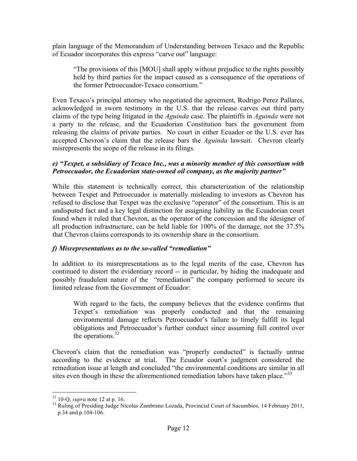plain language of the Memorandum of Understanding between Texaco and the Republic of Ecuador incorporates this express "carve out" language:

"The provisions of this [MOU] shall apply without prejudice to the rights possibly held by third parties for the impact caused as a consequence of the operations of the former Petroecuador-Texaco consortium."

Even Texaco's principal attorney who negotiated the agreement, Rodrigo Perez Pallares, acknowledged in sworn testimony in the U.S. that the release carves out third party claims of the type being litigated in the *Aguinda* case. The plaintiffs in *Aguinda* were not a party to the release, and the Ecuadorian Constitution bars the government from releasing the claims of private parties. No court in either Ecuador or the U.S. ever has accepted Chevron's claim that the release bars the *Aguinda* lawsuit. Chevron clearly misrepresents the scope of the release in its filings.

#### *e) "Texpet, a subsidiary of Texaco Inc., was a minority member of this consortium with Petroecuador, the Ecuadorian state-owned oil company, as the majority partner"*

While this statement is technically correct, this characterization of the relationship between Texpet and Petroecuador is materially misleading to investors as Chevron has refused to disclose that Texpet was the exclusive "operator" of the consortium. This is an undisputed fact and a key legal distinction for assigning liability as the Ecuadorian court found when it ruled that Chevron, as the operator of the concession and the śdesigner of all production infrastructure, can be held liable for 100% of the damage, not the 37.5% that Chevron claims corresponds to its ownership share in the consortium.

#### *f) Misrepresentations as to the so-called "remediation"*

In addition to its misrepresentations as to the legal merits of the case, Chevron has continued to distort the evidentiary record -- in particular, by hiding the inadequate and possibly fraudulent nature of the "remediation" the company performed to secure its limited release from the Government of Ecuador:

With regard to the facts, the company believes that the evidence confirms that Texpet's remediation was properly conducted and that the remaining environmental damage reflects Petroecuador's failure to timely fulfill its legal obligations and Petroecuador's further conduct since assuming full control over the operations. $32$ 

Chevron's claim that the remediation was "properly conducted" is factually untrue according to the evidence at trial. The Ecuador court's judgment considered the remediation issue at length and concluded "the environmental conditions are similar in all sites even though in these the aforementioned remediation labors have taken place."<sup>33</sup>

<sup>&</sup>lt;sup>32</sup> 10-Q, *supra* note 12 at p. 16.<br><sup>33</sup> Ruling of Presiding Judge Nicolas Zambrano Lozada, Provincial Court of Sucumbios, 14 February 2011, p.34 and p.104-106.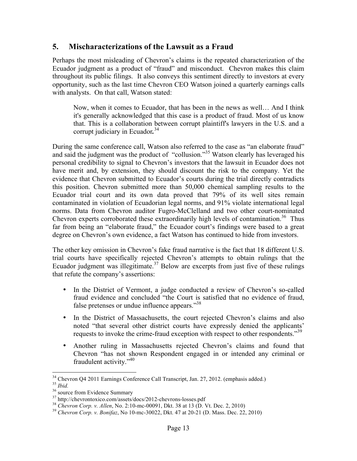## **5. Mischaracterizations of the Lawsuit as a Fraud**

Perhaps the most misleading of Chevron's claims is the repeated characterization of the Ecuador judgment as a product of "fraud" and misconduct. Chevron makes this claim throughout its public filings. It also conveys this sentiment directly to investors at every opportunity, such as the last time Chevron CEO Watson joined a quarterly earnings calls with analysts. On that call, Watson stated:

Now, when it comes to Ecuador, that has been in the news as well… And I think it's generally acknowledged that this case is a product of fraud. Most of us know that. This is a collaboration between corrupt plaintiff's lawyers in the U.S. and a corrupt judiciary in Ecuador*.* 34

During the same conference call, Watson also referred to the case as "an elaborate fraud" and said the judgment was the product of "collusion."<sup>35</sup> Watson clearly has leveraged his personal credibility to signal to Chevron's investors that the lawsuit in Ecuador does not have merit and, by extension, they should discount the risk to the company. Yet the evidence that Chevron submitted to Ecuador's courts during the trial directly contradicts this position. Chevron submitted more than 50,000 chemical sampling results to the Ecuador trial court and its own data proved that 79% of its well sites remain contaminated in violation of Ecuadorian legal norms, and 91% violate international legal norms. Data from Chevron auditor Fugro-McClelland and two other court-nominated Chevron experts corroborated these extraordinarily high levels of contamination.<sup>36</sup> Thus far from being an "elaborate fraud," the Ecuador court's findings were based to a great degree on Chevron's own evidence, a fact Watson has continued to hide from investors.

The other key omission in Chevron's fake fraud narrative is the fact that 18 different U.S. trial courts have specifically rejected Chevron's attempts to obtain rulings that the Ecuador judgment was illegitimate.<sup>37</sup> Below are excerpts from just five of these rulings that refute the company's assertions:

- In the District of Vermont, a judge conducted a review of Chevron's so-called fraud evidence and concluded "the Court is satisfied that no evidence of fraud, false pretenses or undue influence appears."<sup>38</sup>
- In the District of Massachusetts, the court rejected Chevron's claims and also noted "that several other district courts have expressly denied the applicants' requests to invoke the crime-fraud exception with respect to other respondents."<sup>39</sup>
- Another ruling in Massachusetts rejected Chevron's claims and found that Chevron "has not shown Respondent engaged in or intended any criminal or fraudulent activity."<sup>40</sup>

<sup>&</sup>lt;sup>34</sup> Chevron Q4 2011 Earnings Conference Call Transcript, Jan. 27, 2012. (emphasis added.)<br>
<sup>35</sup> *Ibid.*<br>
<sup>36</sup> source from Evidence Summary<br>
<sup>37</sup> http://chevrontoxico.com/assets/docs/2012-chevrons-losses.pdf<br>
<sup>38</sup> *Chevro*